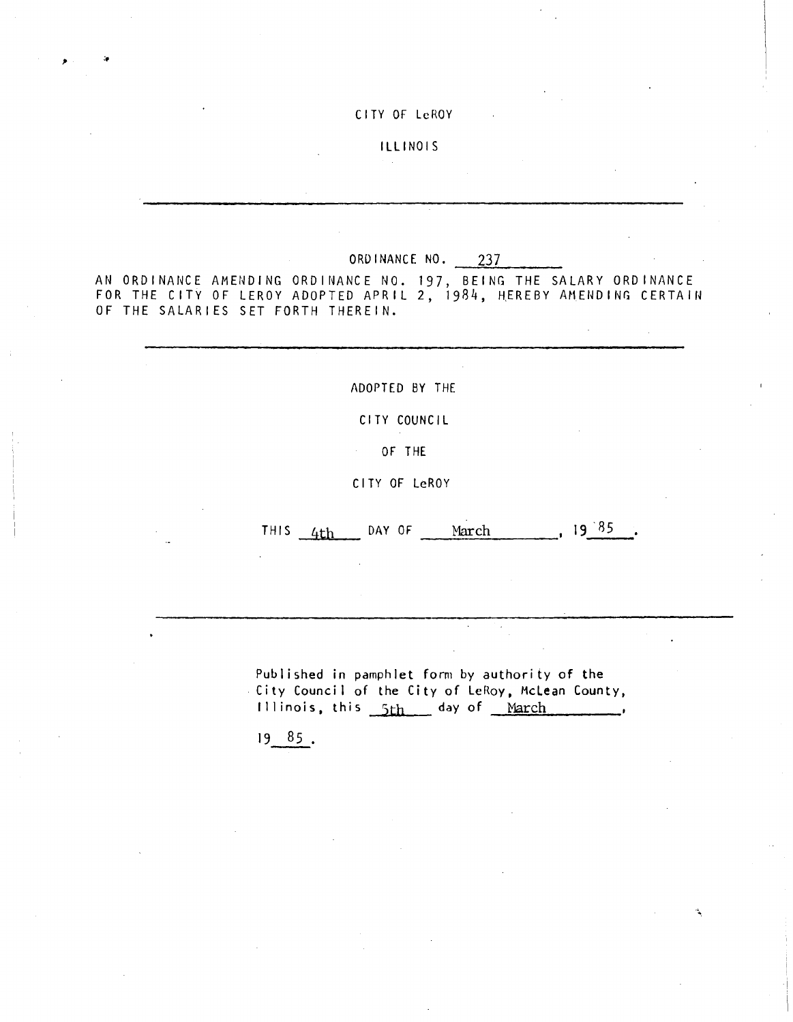#### CITY OF LeROY

## ILLINOIS

### ORDINANCE NO. 237

AN ORDINA14CE AMENDING ORDI14ANCE NO. 197, BEING THE SALARY ORDINANCE FOR THE CITY OF LEROY ADOPTED APRIL 2, 1984, HEREBY AMENDING CERTA114 OF THE SALARIES SET FORTH THEREIN.

ADOPTED BY THE

CITY COUNCIL

OF THE

CITY OF LeROY

THIS  $4th$  DAY OF March , 19 85.

Published in pamphlet form by authority of the City Council of the City of LeRoy, Mclean County, Illinois, this 5th day of March

<sup>19</sup> 85 .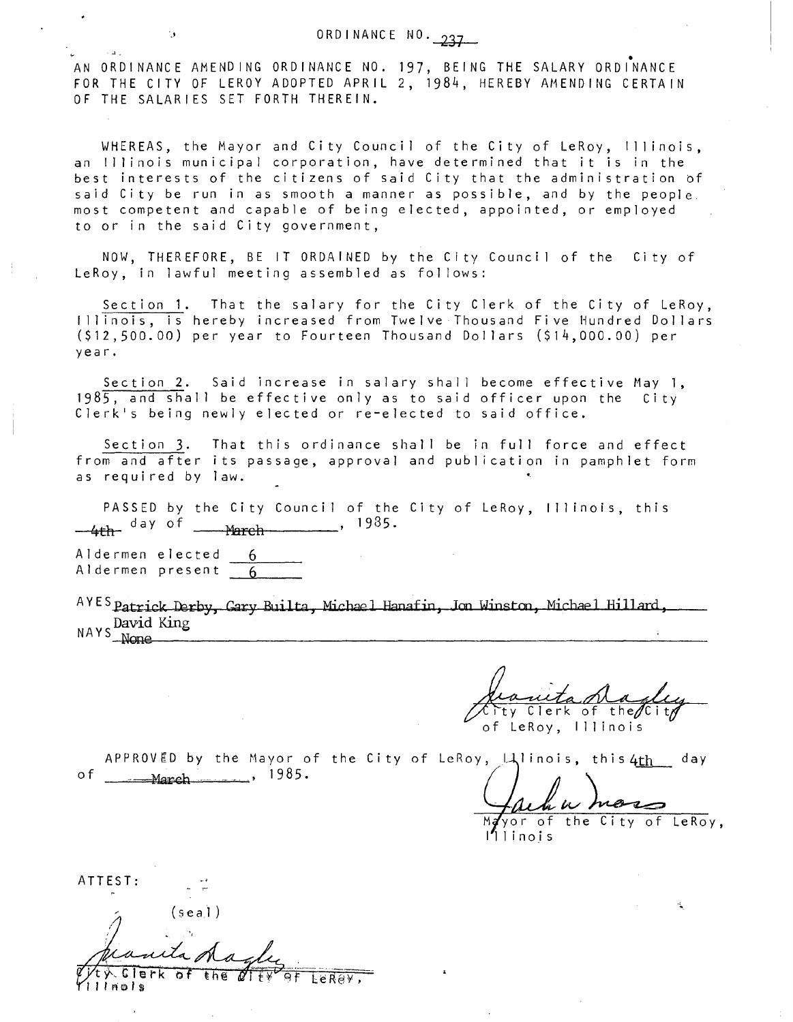# ORDINANCE NO. 237

AN ORDINANCE AMENDING ORDINANCE NO. 197, BEING THE SALARY ORDINANCE FOR THE CITY OF LEROY ADOPTED APRIL 2, 1984, HEREBY AMENDING CERTAIN OF THE SALARIES SET FORTH THEREIN.

WHEREAS, the Mayor and City Council of the City of LeRoy, Illinois, an Illinois municipal corporation, have determined that it is in the best interests of the citizens of said City that the administration of said City be run in as smooth a manner as possible, and by the people, most competent and capable of being elected, appointed, or employed to or in the said City government,

NOW, THEREFORE, BE IT ORDAINED by the City Council of the City of LeRoy, in lawful meeting assembled as follows:

Section 1. That the salary for the City Clerk of the City of LeRoy, Illinois, is hereby increased from Twelve Thousand Five Hundred Dollars (\$12,500.00) per year to Fourteen Thousand Dollars (\$14,000.00) per year.

Section 2. Said increase in salary shall become effective May 1, 1985, and shall be effective only as to said officer upon the City Clerk's being newly elected or re-elected to said office.

Section 3. That this ordinance shall be in full force and effect from and after its passage, approval and publication in pamphlet form as required by law.

PASSED by the City Council of the City of LeRoy, Illinois, this  $4th$ <sup>day of  $\frac{\text{March}}{\text{March}}$ , 1985.</sup>

Aldermen elected 6 Aldermen present 6

A YES Patrick Derby, Gary Builta, Michael Hanafin, Jon Winston, Michael Hillard, NAYS David King<br>None None

Clerk of the $\not\!\! C$ i of LeRoy, Illinois

APPROVED by the Mayor of the City of LeRoy,  $\downarrow\downarrow$ linois, this 4th day of \_\_\_\_\_ March \_\_\_\_\_\_, 1985.

yor of the City of LeRoy,

Illinois

ATTEST:

 $\sim$   $\lambda$   $_{\star}$  .

 $(\text{sea1})$  $\lambda$  . Clerk of  $\vec{\ell}$ i  $t v$  of LeRey,

I I i rels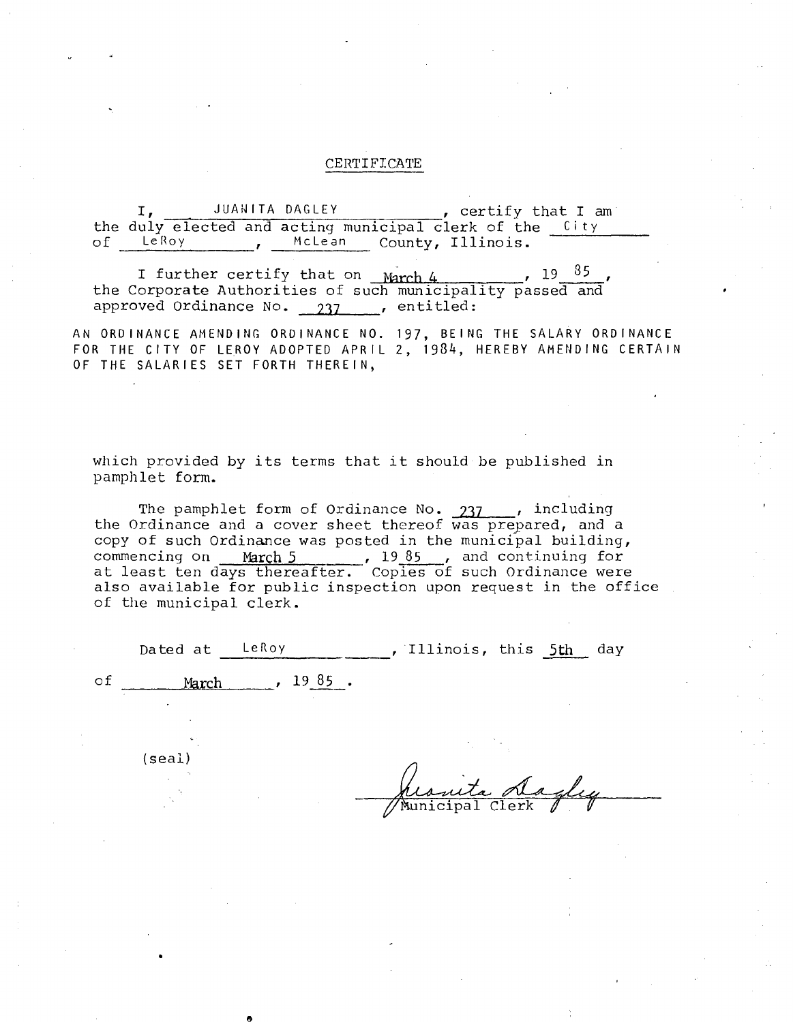#### CERTIFICATE

I, JUANITA DAGLEY, certify that I am the duly elected and acting municipal clerk of the City<br>of LeRoy , McLean County, Illinois. McLean County, Illinois.

I further certify that on  $March.4$   $19.85$ the Corporate Authorities of such municipality passed and approved Ordinance No. 237 ...., entitled:

AN ORDINANCE AMENDING ORDINANCE NO. 197, BEING THE SALARY ORDINANCE FOR THE CITY OF LEROY ADOPTED APRIL 2, 1984, HEREBY AMENDING CERTAIN OF THE SALARIES SET FORTH THEREIN,

which provided by its terms that it should be published in pamphlet form.

The pamphlet form of Ordinance No. 237 ..., including<br>the Ordinance and a cover sheet thereof was prepared, and a copy of such Ordinance was posted in the municipal building, commencing on March 5 , 1985, and continuing for at least ten days thereafter. Copies of such Ordinance were also available for public inspection upon request in the office of the municipal clerk.

|    | of the municipal clerk. |                           |                          |  |  |
|----|-------------------------|---------------------------|--------------------------|--|--|
|    | Dated at LeRoy          |                           | , Illinois, this 5th day |  |  |
| оf |                         | March $\frac{1985}{1985}$ |                          |  |  |

(sea!)

nicipal Clerk